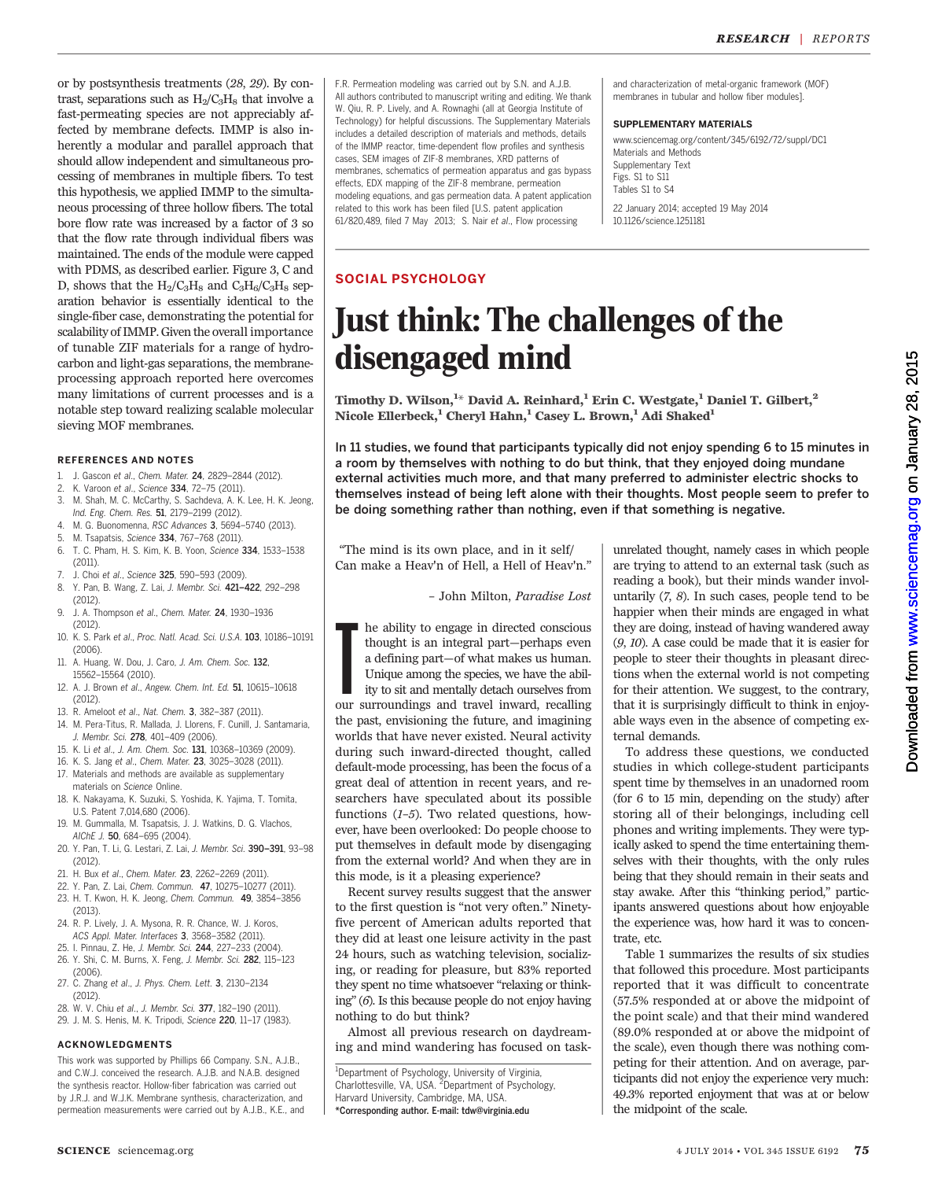or by postsynthesis treatments (28, 29). By contrast, separations such as  $H_2/C_3H_8$  that involve a fast-permeating species are not appreciably affected by membrane defects. IMMP is also inherently a modular and parallel approach that should allow independent and simultaneous processing of membranes in multiple fibers. To test this hypothesis, we applied IMMP to the simultaneous processing of three hollow fibers. The total bore flow rate was increased by a factor of 3 so that the flow rate through individual fibers was maintained. The ends of the module were capped with PDMS, as described earlier. Figure 3, C and D, shows that the  $H_2/C_3H_8$  and  $C_3H_6/C_3H_8$  separation behavior is essentially identical to the single-fiber case, demonstrating the potential for scalability of IMMP. Given the overall importance of tunable ZIF materials for a range of hydrocarbon and light-gas separations, the membraneprocessing approach reported here overcomes many limitations of current processes and is a notable step toward realizing scalable molecular sieving MOF membranes.

### REFERENCES AND NOTES

- 1. J. Gascon et al., Chem. Mater. **24**, 2829–2844 (2012).<br>2. K. Varoon et al., Science **334**, 72–75 (2011).
- K. Varoon et al., Science 334, 72-75 (2011).
- 3. M. Shah, M. C. McCarthy, S. Sachdeva, A. K. Lee, H. K. Jeong, Ind. Eng. Chem. Res. 51, 2179–2199 (2012).
- 4. M. G. Buonomenna, RSC Advances 3, 5694–5740 (2013).
- 5. M. Tsapatsis, Science 334, 767–768 (2011). 6. T. C. Pham, H. S. Kim, K. B. Yoon, Science 334, 1533–1538
- (2011).
- 7. J. Choi et al., Science 325, 590–593 (2009).
- 8. Y. Pan, B. Wang, Z. Lai, J. Membr. Sci. 421–422, 292–298 (2012).
- 9. J. A. Thompson et al., Chem. Mater. 24, 1930–1936 (2012).
- 10. K. S. Park et al., Proc. Natl. Acad. Sci. U.S.A. 103, 10186–10191 (2006).
- 11. A. Huang, W. Dou, J. Caro, J. Am. Chem. Soc. 132, 15562–15564 (2010).
- 12. A. J. Brown et al., Angew. Chem. Int. Ed. 51, 10615–10618 (2012).
- 13. R. Ameloot et al., Nat. Chem. 3, 382–387 (2011).
- 14. M. Pera-Titus, R. Mallada, J. Llorens, F. Cunill, J. Santamaria, J. Membr. Sci. 278, 401–409 (2006).
- 15. K. Li et al., J. Am. Chem. Soc. 131, 10368–10369 (2009).
- 16. K. S. Jang et al., Chem. Mater. 23, 3025–3028 (2011).
- 17. Materials and methods are available as supplementary materials on Science Online.
- 18. K. Nakayama, K. Suzuki, S. Yoshida, K. Yajima, T. Tomita, U.S. Patent 7,014,680 (2006).
- 19. M. Gummalla, M. Tsapatsis, J. J. Watkins, D. G. Vlachos, AIChE J. 50, 684–695 (2004).
- 20. Y. Pan, T. Li, G. Lestari, Z. Lai, J. Membr. Sci. 390–391, 93–98 (2012).
- 21. H. Bux et al., Chem. Mater. 23, 2262–2269 (2011).
- 22. Y. Pan, Z. Lai, Chem. Commun. 47, 10275–10277 (2011).
- 23. H. T. Kwon, H. K. Jeong, Chem. Commun. 49, 3854–3856 (2013).
- 24. R. P. Lively, J. A. Mysona, R. R. Chance, W. J. Koros, ACS Appl. Mater. Interfaces 3, 3568–3582 (2011).
- 25. I. Pinnau, Z. He, J. Membr. Sci. 244, 227–233 (2004). 26. Y. Shi, C. M. Burns, X. Feng, J. Membr. Sci. 282, 115–123 (2006).
- 27. C. Zhang et al., J. Phys. Chem. Lett. 3, 2130–2134 (2012).
- 28. W. V. Chiu et al., J. Membr. Sci. 377, 182–190 (2011).
- 29. J. M. S. Henis, M. K. Tripodi, Science 220, 11–17 (1983).

## ACKNOWLEDGMENTS

This work was supported by Phillips 66 Company. S.N., A.J.B., and C.W.J. conceived the research. A.J.B. and N.A.B. designed the synthesis reactor. Hollow-fiber fabrication was carried out by J.R.J. and W.J.K. Membrane synthesis, characterization, and permeation measurements were carried out by A.J.B., K.E., and F.R. Permeation modeling was carried out by S.N. and A.J.B. All authors contributed to manuscript writing and editing. We thank W. Qiu, R. P. Lively, and A. Rownaghi (all at Georgia Institute of Technology) for helpful discussions. The Supplementary Materials includes a detailed description of materials and methods, details of the IMMP reactor, time-dependent flow profiles and synthesis cases, SEM images of ZIF-8 membranes, XRD patterns of membranes, schematics of permeation apparatus and gas bypass effects, EDX mapping of the ZIF-8 membrane, permeation modeling equations, and gas permeation data. A patent application related to this work has been filed [U.S. patent application 61/820,489, filed 7 May 2013; S. Nair et al., Flow processing

and characterization of metal-organic framework (MOF) membranes in tubular and hollow fiber modules].

#### SUPPLEMENTARY MATERIALS

www.sciencemag.org/content/345/6192/72/suppl/DC1 Materials and Methods Supplementary Text Figs. S1 to S11 Tables S1 to S4 22 January 2014; accepted 19 May 2014 10.1126/science.1251181

## SOCIAL PSYCHOLOGY

# Just think: The challenges of the disengaged mind

Timothy D. Wilson,  $^{1\ast}$  David A. Reinhard,  $^{1}$  Erin C. Westgate,  $^{1}$  Daniel T. Gilbert,  $^{2}$ Nicole Ellerbeck,<sup>1</sup> Cheryl Hahn,<sup>1</sup> Casey L. Brown,<sup>1</sup> Adi Shaked<sup>1</sup>

In 11 studies, we found that participants typically did not enjoy spending 6 to 15 minutes in a room by themselves with nothing to do but think, that they enjoyed doing mundane external activities much more, and that many preferred to administer electric shocks to themselves instead of being left alone with their thoughts. Most people seem to prefer to be doing something rather than nothing, even if that something is negative.

"The mind is its own place, and in it self/ Can make a Heav'n of Hell, a Hell of Heav'n."

– John Milton, Paradise Lost

I he ability to engage in directed conscious thought is an integral part—perhaps even a defining part—of what makes us human. Unique among the species, we have the ability to sit and mentally detach ourselves from our surr he ability to engage in directed conscious thought is an integral part—perhaps even a defining part—of what makes us human. Unique among the species, we have the abil-

ity to sit and mentally detach ourselves from the past, envisioning the future, and imagining worlds that have never existed. Neural activity during such inward-directed thought, called default-mode processing, has been the focus of a great deal of attention in recent years, and researchers have speculated about its possible functions  $(1-5)$ . Two related questions, however, have been overlooked: Do people choose to put themselves in default mode by disengaging from the external world? And when they are in this mode, is it a pleasing experience?

Recent survey results suggest that the answer to the first question is "not very often." Ninetyfive percent of American adults reported that they did at least one leisure activity in the past 24 hours, such as watching television, socializing, or reading for pleasure, but 83% reported they spent no time whatsoever "relaxing or thinking" (6). Is this because people do not enjoy having nothing to do but think?

Almost all previous research on daydreaming and mind wandering has focused on task-

<sup>1</sup>Department of Psychology, University of Virginia,<br>Charlottesville, VA, USA. <sup>2</sup>Department of Psychology, Harvard University, Cambridge, MA, USA. \*Corresponding author. E-mail: tdw@virginia.edu

unrelated thought, namely cases in which people are trying to attend to an external task (such as reading a book), but their minds wander involuntarily  $(7, 8)$ . In such cases, people tend to be happier when their minds are engaged in what they are doing, instead of having wandered away (9, 10). A case could be made that it is easier for people to steer their thoughts in pleasant directions when the external world is not competing for their attention. We suggest, to the contrary, that it is surprisingly difficult to think in enjoyable ways even in the absence of competing external demands.

To address these questions, we conducted studies in which college-student participants spent time by themselves in an unadorned room (for 6 to 15 min, depending on the study) after storing all of their belongings, including cell phones and writing implements. They were typically asked to spend the time entertaining themselves with their thoughts, with the only rules being that they should remain in their seats and stay awake. After this "thinking period," participants answered questions about how enjoyable the experience was, how hard it was to concentrate, etc.

Table 1 summarizes the results of six studies that followed this procedure. Most participants reported that it was difficult to concentrate (57.5% responded at or above the midpoint of the point scale) and that their mind wandered (89.0% responded at or above the midpoint of the scale), even though there was nothing competing for their attention. And on average, participants did not enjoy the experience very much: 49.3% reported enjoyment that was at or below the midpoint of the scale.

LO.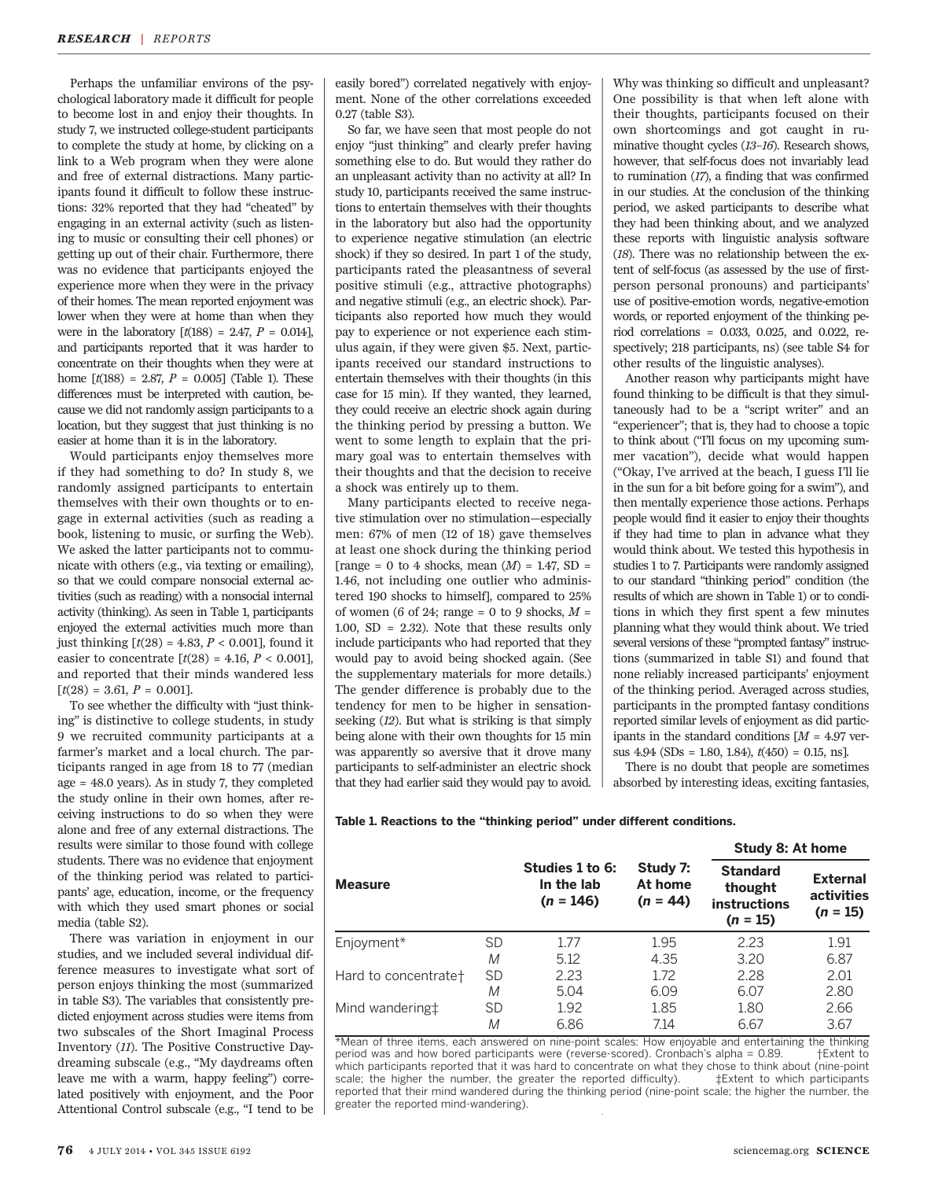Perhaps the unfamiliar environs of the psychological laboratory made it difficult for people to become lost in and enjoy their thoughts. In study 7, we instructed college-student participants to complete the study at home, by clicking on a link to a Web program when they were alone and free of external distractions. Many participants found it difficult to follow these instructions: 32% reported that they had "cheated" by engaging in an external activity (such as listening to music or consulting their cell phones) or getting up out of their chair. Furthermore, there was no evidence that participants enjoyed the experience more when they were in the privacy of their homes. The mean reported enjoyment was lower when they were at home than when they were in the laboratory  $[t(188) = 2.47, P = 0.014]$ , and participants reported that it was harder to concentrate on their thoughts when they were at home  $\lceil t(188) = 2.87, P = 0.005 \rceil$  (Table 1). These differences must be interpreted with caution, because we did not randomly assign participants to a location, but they suggest that just thinking is no easier at home than it is in the laboratory.

Would participants enjoy themselves more if they had something to do? In study 8, we randomly assigned participants to entertain themselves with their own thoughts or to engage in external activities (such as reading a book, listening to music, or surfing the Web). We asked the latter participants not to communicate with others (e.g., via texting or emailing), so that we could compare nonsocial external activities (such as reading) with a nonsocial internal activity (thinking). As seen in Table 1, participants enjoyed the external activities much more than just thinking  $[t(28) = 4.83, P < 0.001]$ , found it easier to concentrate  $[t(28) = 4.16, P < 0.001]$ , and reported that their minds wandered less  $[t(28) = 3.61, P = 0.001].$ 

To see whether the difficulty with "just thinking" is distinctive to college students, in study 9 we recruited community participants at a farmer's market and a local church. The participants ranged in age from 18 to 77 (median age = 48.0 years). As in study 7, they completed the study online in their own homes, after receiving instructions to do so when they were alone and free of any external distractions. The results were similar to those found with college students. There was no evidence that enjoyment of the thinking period was related to participants' age, education, income, or the frequency with which they used smart phones or social media (table S2).

There was variation in enjoyment in our studies, and we included several individual difference measures to investigate what sort of person enjoys thinking the most (summarized in table S3). The variables that consistently predicted enjoyment across studies were items from two subscales of the Short Imaginal Process Inventory (11). The Positive Constructive Daydreaming subscale (e.g., "My daydreams often leave me with a warm, happy feeling") correlated positively with enjoyment, and the Poor Attentional Control subscale (e.g., "I tend to be

easily bored") correlated negatively with enjoyment. None of the other correlations exceeded 0.27 (table S3).

So far, we have seen that most people do not enjoy "just thinking" and clearly prefer having something else to do. But would they rather do an unpleasant activity than no activity at all? In study 10, participants received the same instructions to entertain themselves with their thoughts in the laboratory but also had the opportunity to experience negative stimulation (an electric shock) if they so desired. In part 1 of the study, participants rated the pleasantness of several positive stimuli (e.g., attractive photographs) and negative stimuli (e.g., an electric shock). Participants also reported how much they would pay to experience or not experience each stimulus again, if they were given \$5. Next, participants received our standard instructions to entertain themselves with their thoughts (in this case for 15 min). If they wanted, they learned, they could receive an electric shock again during the thinking period by pressing a button. We went to some length to explain that the primary goal was to entertain themselves with their thoughts and that the decision to receive a shock was entirely up to them.

Many participants elected to receive negative stimulation over no stimulation—especially men: 67% of men (12 of 18) gave themselves at least one shock during the thinking period [range = 0 to 4 shocks, mean  $(M)$  = 1.47, SD = 1.46, not including one outlier who administered 190 shocks to himself], compared to 25% of women (6 of 24; range = 0 to 9 shocks,  $M =$ 1.00, SD = 2.32). Note that these results only include participants who had reported that they would pay to avoid being shocked again. (See the supplementary materials for more details.) The gender difference is probably due to the tendency for men to be higher in sensationseeking (12). But what is striking is that simply being alone with their own thoughts for 15 min was apparently so aversive that it drove many participants to self-administer an electric shock that they had earlier said they would pay to avoid.

Why was thinking so difficult and unpleasant? One possibility is that when left alone with their thoughts, participants focused on their own shortcomings and got caught in ruminative thought cycles (13–16). Research shows, however, that self-focus does not invariably lead to rumination (17), a finding that was confirmed in our studies. At the conclusion of the thinking period, we asked participants to describe what they had been thinking about, and we analyzed these reports with linguistic analysis software (18). There was no relationship between the extent of self-focus (as assessed by the use of firstperson personal pronouns) and participants' use of positive-emotion words, negative-emotion words, or reported enjoyment of the thinking period correlations = 0.033, 0.025, and 0.022, respectively; 218 participants, ns) (see table S4 for other results of the linguistic analyses).

Another reason why participants might have found thinking to be difficult is that they simultaneously had to be a "script writer" and an "experiencer"; that is, they had to choose a topic to think about ("I'll focus on my upcoming summer vacation"), decide what would happen ("Okay, I've arrived at the beach, I guess I'll lie in the sun for a bit before going for a swim"), and then mentally experience those actions. Perhaps people would find it easier to enjoy their thoughts if they had time to plan in advance what they would think about. We tested this hypothesis in studies 1 to 7. Participants were randomly assigned to our standard "thinking period" condition (the results of which are shown in Table 1) or to conditions in which they first spent a few minutes planning what they would think about. We tried several versions of these "prompted fantasy" instructions (summarized in table S1) and found that none reliably increased participants' enjoyment of the thinking period. Averaged across studies, participants in the prompted fantasy conditions reported similar levels of enjoyment as did participants in the standard conditions  $[M = 4.97$  versus  $4.94$  (SDs = 1.80, 1.84),  $t(450) = 0.15$ , ns].

There is no doubt that people are sometimes absorbed by interesting ideas, exciting fantasies,

Table 1. Reactions to the "thinking period" under different conditions.

| <b>Measure</b>              |           | Studies 1 to 6:<br>In the lab<br>$(n = 146)$ | Study 7:<br>At home<br>$(n = 44)$ | Study 8: At home                                         |                                             |
|-----------------------------|-----------|----------------------------------------------|-----------------------------------|----------------------------------------------------------|---------------------------------------------|
|                             |           |                                              |                                   | <b>Standard</b><br>thought<br>instructions<br>$(n = 15)$ | <b>External</b><br>activities<br>$(n = 15)$ |
| Enjoyment*                  | <b>SD</b> | 1.77                                         | 1.95                              | 2.23                                                     | 1.91                                        |
|                             | M         | 5.12                                         | 4.35                              | 3.20                                                     | 6.87                                        |
| Hard to concentrate+        | <b>SD</b> | 2.23                                         | 1.72                              | 2.28                                                     | 2.01                                        |
|                             | M         | 5.04                                         | 6.09                              | 6.07                                                     | 2.80                                        |
| Mind wandering <sup>+</sup> | <b>SD</b> | 1.92                                         | 1.85                              | 1.80                                                     | 2.66                                        |
|                             | М         | 6.86                                         | 7.14                              | 6.67                                                     | 3.67                                        |

\*Mean of three items, each answered on nine-point scales: How enjoyable and entertaining the thinking<br>period was and how bored participants were (reverse-scored) Crophach's alpha = 0.89 + Fxtent to period was and how bored participants were (reverse-scored). Cronbach's alpha =  $0.89$ . which participants reported that it was hard to concentrate on what they chose to think about (nine-point scale; the higher the number, the greater the reported difficulty).  $\uparrow$   $\uparrow$  Extent to which participants reported that their mind wandered during the thinking period (nine-point scale; the higher the number, the greater the reported mind-wandering).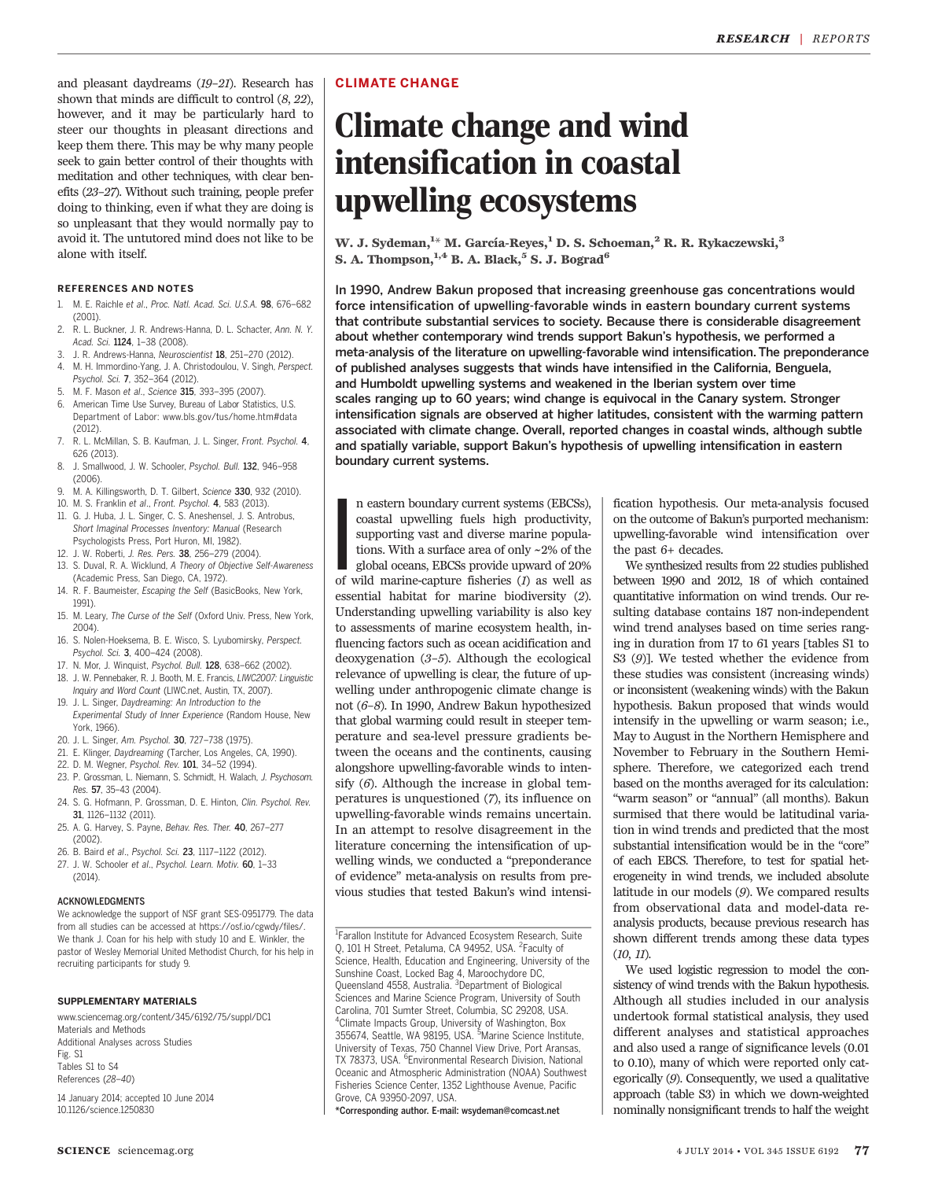and pleasant daydreams (19–21). Research has shown that minds are difficult to control (8, 22), however, and it may be particularly hard to steer our thoughts in pleasant directions and keep them there. This may be why many people seek to gain better control of their thoughts with meditation and other techniques, with clear benefits (23–27). Without such training, people prefer doing to thinking, even if what they are doing is so unpleasant that they would normally pay to avoid it. The untutored mind does not like to be alone with itself.

## REFERENCES AND NOTES

- 1. M. E. Raichle et al. Proc. Natl. Acad. Sci. U.S.A. 98, 676–682 (2001).
- 2. R. L. Buckner, J. R. Andrews-Hanna, D. L. Schacter, Ann. N. Y. Acad. Sci. 1124, 1–38 (2008).
- 3. J. R. Andrews-Hanna, Neuroscientist 18, 251–270 (2012).
- 4. M. H. Immordino-Yang, J. A. Christodoulou, V. Singh, Perspect. Psychol. Sci. 7, 352–364 (2012).
- 5. M. F. Mason et al., Science 315, 393–395 (2007).
- 6. American Time Use Survey, Bureau of Labor Statistics, U.S. Department of Labor: www.bls.gov/tus/home.htm#data (2012).
- 7. R. L. McMillan, S. B. Kaufman, J. L. Singer, Front. Psychol. 4, 626 (2013).
- 8. J. Smallwood, J. W. Schooler, Psychol. Bull. 132, 946–958 (2006).
- 9. M. A. Killingsworth, D. T. Gilbert, Science 330, 932 (2010).
- 10. M. S. Franklin et al., Front. Psychol. 4, 583 (2013).
- 11. G. J. Huba, J. L. Singer, C. S. Aneshensel, J. S. Antrobus, Short Imaginal Processes Inventory: Manual (Research Psychologists Press, Port Huron, MI, 1982).
- 12. J. W. Roberti, J. Res. Pers. 38, 256–279 (2004).
- 13. S. Duval, R. A. Wicklund, A Theory of Objective Self-Awareness (Academic Press, San Diego, CA, 1972).
- 14. R. F. Baumeister, Escaping the Self (BasicBooks, New York, 1991).
- 15. M. Leary, The Curse of the Self (Oxford Univ. Press, New York, 2004)
- 16. S. Nolen-Hoeksema, B. E. Wisco, S. Lyubomirsky, Perspect. Psychol. Sci. 3, 400–424 (2008).
- 17. N. Mor, J. Winquist, Psychol. Bull. 128, 638–662 (2002).
- 18. J. W. Pennebaker, R. J. Booth, M. E. Francis, LIWC2007: Linguistic
- Inquiry and Word Count (LIWC.net, Austin, TX, 2007). 19. J. L. Singer, Daydreaming: An Introduction to the
- Experimental Study of Inner Experience (Random House, New York, 1966).
- 20. J. L. Singer, Am. Psychol. 30, 727–738 (1975).
- 21. E. Klinger, Daydreaming (Tarcher, Los Angeles, CA, 1990).
- 22. D. M. Wegner, Psychol. Rev. 101, 34–52 (1994). 23. P. Grossman, L. Niemann, S. Schmidt, H. Walach, J. Psychosom.
- Res. 57, 35-43 (2004). 24. S. G. Hofmann, P. Grossman, D. E. Hinton, Clin. Psychol. Rev.
- 31, 1126–1132 (2011).
- 25. A. G. Harvey, S. Payne, Behav. Res. Ther. 40, 267–277 (2002).
- 26. B. Baird et al., Psychol. Sci. 23, 1117–1122 (2012).
- 27. J. W. Schooler et al., Psychol. Learn. Motiv. 60, 1-33 (2014).

### ACKNOWLEDGMENTS

We acknowledge the support of NSF grant SES-0951779. The data from all studies can be accessed at https://osf.io/cgwdy/files/. We thank J. Coan for his help with study 10 and E. Winkler, the pastor of Wesley Memorial United Methodist Church, for his help in recruiting participants for study 9.

#### SUPPLEMENTARY MATERIALS

www.sciencemag.org/content/345/6192/75/suppl/DC1 Materials and Methods Additional Analyses across Studies Fig. S1 Tables S1 to S4 References (28–40)

14 January 2014; accepted 10 June 2014 10.1126/science.1250830

## CLIMATE CHANGE

## Climate change and wind intensification in coastal upwelling ecosystems

W. J. Sydeman, $^{1_\star}$  M. García-Reyes, $^1$  D. S. Schoeman, $^2$  R. R. Rykaczewski, $^3$ S. A. Thompson,  $^{1,4}$  B. A. Black,  $^5$  S. J. Bograd<sup>6</sup>

In 1990, Andrew Bakun proposed that increasing greenhouse gas concentrations would force intensification of upwelling-favorable winds in eastern boundary current systems that contribute substantial services to society. Because there is considerable disagreement about whether contemporary wind trends support Bakun's hypothesis, we performed a meta-analysis of the literature on upwelling-favorable wind intensification. The preponderance of published analyses suggests that winds have intensified in the California, Benguela, and Humboldt upwelling systems and weakened in the Iberian system over time scales ranging up to 60 years; wind change is equivocal in the Canary system. Stronger intensification signals are observed at higher latitudes, consistent with the warming pattern associated with climate change. Overall, reported changes in coastal winds, although subtle and spatially variable, support Bakun's hypothesis of upwelling intensification in eastern boundary current systems.

I<br>I<br>Of n eastern boundary current systems (EBCSs), coastal upwelling fuels high productivity, supporting vast and diverse marine populations. With a surface area of only ~2% of the global oceans, EBCSs provide upward of 20% of wild marine-capture fisheries (1) as well as essential habitat for marine biodiversity (2). Understanding upwelling variability is also key to assessments of marine ecosystem health, influencing factors such as ocean acidification and deoxygenation (3–5). Although the ecological relevance of upwelling is clear, the future of upwelling under anthropogenic climate change is not (6–8). In 1990, Andrew Bakun hypothesized that global warming could result in steeper temperature and sea-level pressure gradients between the oceans and the continents, causing alongshore upwelling-favorable winds to intensify  $(6)$ . Although the increase in global temperatures is unquestioned (7), its influence on upwelling-favorable winds remains uncertain. In an attempt to resolve disagreement in the literature concerning the intensification of upwelling winds, we conducted a "preponderance of evidence" meta-analysis on results from previous studies that tested Bakun's wind intensi-

<sup>1</sup>Farallon Institute for Advanced Ecosystem Research, Suite Q, 101 H Street, Petaluma, CA 94952, USA. <sup>2</sup>Faculty of Science, Health, Education and Engineering, University of the Sunshine Coast, Locked Bag 4, Maroochydore DC, Queensland 4558, Australia. <sup>3</sup>Department of Biological Sciences and Marine Science Program, University of South Carolina, 701 Sumter Street, Columbia, SC 29208, USA. 4 Climate Impacts Group, University of Washington, Box 355674, Seattle, WA 98195, USA. <sup>5</sup> Marine Science Institute, University of Texas, 750 Channel View Drive, Port Aransas, TX 78373, USA. <sup>6</sup>Environmental Research Division, National Oceanic and Atmospheric Administration (NOAA) Southwest Fisheries Science Center, 1352 Lighthouse Avenue, Pacific Grove, CA 93950-2097, USA.

\*Corresponding author. E-mail: wsydeman@comcast.net

fication hypothesis. Our meta-analysis focused on the outcome of Bakun's purported mechanism: upwelling-favorable wind intensification over the past 6+ decades.

We synthesized results from 22 studies published between 1990 and 2012, 18 of which contained quantitative information on wind trends. Our resulting database contains 187 non-independent wind trend analyses based on time series ranging in duration from 17 to 61 years [tables S1 to S3 (9)]. We tested whether the evidence from these studies was consistent (increasing winds) or inconsistent (weakening winds) with the Bakun hypothesis. Bakun proposed that winds would intensify in the upwelling or warm season; i.e., May to August in the Northern Hemisphere and November to February in the Southern Hemisphere. Therefore, we categorized each trend based on the months averaged for its calculation: "warm season" or "annual" (all months). Bakun surmised that there would be latitudinal variation in wind trends and predicted that the most substantial intensification would be in the "core" of each EBCS. Therefore, to test for spatial heterogeneity in wind trends, we included absolute latitude in our models (9). We compared results from observational data and model-data reanalysis products, because previous research has shown different trends among these data types (10, 11).

We used logistic regression to model the consistency of wind trends with the Bakun hypothesis. Although all studies included in our analysis undertook formal statistical analysis, they used different analyses and statistical approaches and also used a range of significance levels (0.01 to 0.10), many of which were reported only categorically (9). Consequently, we used a qualitative approach (table S3) in which we down-weighted nominally nonsignificant trends to half the weight